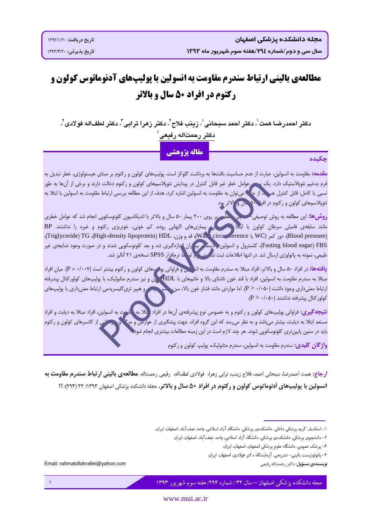# مطالعهی بالینی ارتباط سندرم مقاومت به انسولین با یولیپهای آدنوماتوس کولون و **رکتوم در افراد 50 سال و بالاتر**

دكتر احمدرضا همت ٰ، دكتر احمد سبحاني ٰ، زينب فلاح ٰ، دكتر زهرا ترابي ؓ، دكتر لطفاله فو لادي ؓ، دكتر رحمتاله رفيعى ٰ

مقاله يژوهشي

### حكىدە

<mark>مقدمه:</mark> مقاومت به انسولین، عبارت از عدم حساسیت بافتها به برداشت گلوکز است. پولیپهای کولون و رکتوم بر مبنای هیستولوژی، خطر تبدیل به .<br>فرم بدخیم نئوپلاستیک دارد. یک مصر عوامل خطر غیر قابل کنترل در پیدایش نئوپلاسمهای کولون و رکتوم دخالت دارند و برخی از آنها به طور نسبی یا کامل، قابل کنترل هسمه، از ج<sup>ان</sup>ه می توان به مقاومت به انسولین اشاره کرد. هدف از این مطالعه بررسی ارتباط مقاومت به انسولین با ابتلا به نئوپلاسمهای کولون و رکتوم در افران ۹۰ سال و الاتر بود.

هطع و روی ۲۰۰ بیمار ۵۰ سال و بالاتر با اندیکاسیون کلونوسکوپی انجام شد که عوامل خطری **روش ها:** این مطالعه به روش توصیفی ً-.<br>مانند سابقهی فامیلی سرطان کولون یا ابتلال مسلمان الله استفایی روده، کم خونی، خونریزی رکتوم و غیره را نداشتند.<br>(Blood pressure)، دور کمر (WC یا Wa دircu)، قد و وزن، Wa (circu)، قدر (Friglyceride) TG (High-density lipopro Fasting blood sugar) FBS)، کلسترول و انسولین پلاسم (بیه اران اندازهگیری شد و بعد کلونوسکوپی شدند و در صورت وجود ضایعهی غیر طبیعی، نمونه به پاتولوژی ارسال شد. در انتها اطلاعات ثبت شد در کرم تو ها نرمافزار SPSS نسخهی ۲۱ آنالیز شد.

<mark>یافتهها:</mark> در افراد ۵۰ سال و بالاتر، افراد مبتلا به سندرم مقاومت به اند اس و فراوانی پول های کولون و رکتوم بیشتر است (۰۰۰۷– P). میان افراد مبتلا به سندرم مقاومت به انسولین، افراد با قند خون ناشتای بالا و خانمهای با HDL، چن و نیز سندرم متابولیک، با پولیپهای کولورکتال پیشرفته ارتباط معنیداری وجود داشت (P> ۰/۰۵۰). اما مواردی مانند فشار خون بالا، سن، مسرحیت و هیپر تریگلیسریدمی ارتباط معنیداری با پولیپهای كولوركتال ييشرفته نداشتند (β > ٠/٠۵٠).

<mark>نتیجه گیری:</mark> فراوانی پولیپهای کولون و رکتوم و به خصوص نوع پیشرفتهی آنها در افراد (پتلا به ۱ مارمت به انسولین، افراد مبتلا به دیابت و افراد مستعد ابتلا به دیابت، بیشتر میباشد و به نظر می<sub>د</sub>سد که این گروه افراد، جهت پیشگیری از عوارص و مرگ <mark>و</mark> سر شمی از کانسرهای کولون و رکتوم باید در سنین پایینتری کلونوسکوپی شوند. هر چند لازم است در این زمینه مطالعات بیشتری انجام شود.

واژ <mark>گان کلیدی:</mark> سندرم مقاومت به انسولین، سندرم متابولیک، پولیب کولون و رکتوم

<mark>ارجاع: همت ا</mark>حمدرضا، سبحاني احمد، فلاح زينب، ترابي زهرا، فولادي لطف|له، رفيعي رحمت|له. **مطالعه ي باليني ار تباط سندرم مقاومت به** انسولین با پولیپهای آدنوماتوس کولون و رکتوم در افراد ۵۰ سال و بالاتر. مجله دانشکده پزشکی اصفهان ۳۲:۱۳۹۲ (۲۹۴): ؟؟

- ۱ استادیار، گروه پزشکی داخلی، دانشکدهی پزشکی، دانشگاه آزاد اسلامی، واحد نجف آباد، اصفهان، ایران
	- ۲- دانشجوی پزشکی، دانشکدهی پزشکی، دانشگاه آزاد اسلامی، واحد نجف آباد، اصفهان، ایران
		- ٣- پزشک عمومی، دانشگاه علوم پزشکی اصفهان، اصفهان، ایران
		- ۴- پاتولوژیست بالینی- تشریحی، آزمایشگاه دکتر فولادی، اصفهان، ایران

**نويسندەي مسؤول**: دكتر رحمتاله رفيعي

Email: rahmatollahrafiei@vahoo.com

<u>یله دانشکده بزشکی اصفهان –سال ۳۲ / شماره ۲۹۴/ هفته سوم شهریور ۱۳۹۳</u>

www.mui.ac.ir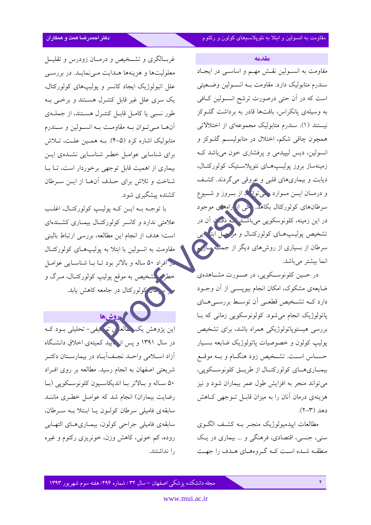مقدمه

مقاومت به انسـولین نقـش مهـم و اساسـی در ایجـاد سندرم متابوليک دارد. مقاومت بـه انسـولين وضـعيتي است که در اَن حتی درصورت ترشح انســولین کــافی به وسیلهی یانکراس، بافتها قادر به برداشت گلوکز نیستند (۱). سندرم متابولیک مجموعهای از اختلالاتی همچون چاقی شکم، اختلال در متابولیسم گلـوکز و انسولین، دیس لیپیدمی و پرفشاری خون میباشد ک زمینهساز بروز پولیـپهـای نئویلاسـتیک کولورکتـال، دیابت و بیماریهای قلبی و عروقی میگردند. کشف و درمــان ايـــن مــوارد چيقوانه د از بـــروز و شـــيوع سرطانهای کولورکتال بکاهد. <mark>پنی از رامه</mark>ای موجود در این زمینه، کلونوسکوپی میباشید <mark>به دو ت</mark> آن در تشخیص پولیـپهـای کولورکتـال و مرحـل ابتهایی سرطان از بسیاری از روشهای دیگر از جمله پارسم انما بيشتر ميباشد.

در حـین کلونوسـکوپی، در صـورت مشـاهدهی ضایعهی مشکوک، امکان انجام بیوپســی از آن وجــود دارد کــه تشــخیص قطعــی آن توســط بررســی۵حــای پاتولوژیک انجام میشود. کولونوسکوپی زمانی که با بررسی هیستویاتولوژیکی همراه باشد، برای تشخیص پولیپ کولون و خصوصیات پاتولوژیک ضایعه بسـیار حســاس اســت. تشــخيص زود هنگــام و بــه موقــع بيمـاريهمـاي كولوركتـال از طريــق كلونوســكويى، می تواند منجر به افزایش طول عمر بیماران شود و نیز هزینهی درمان آنان را به میزان قابـل تــوجهی کــاهش  $(7 - 1)$ .

مطالعات اييدميولوژيک منجـر بـه کشـف الگـوي سني، جنسي، اقتصادي، فرهنگي و ... بيماري در يـک منطقـه شـده اسـت كـه گـروههـاي هـدف را جهـت

غربسالگری و تشـخیص و درمــان زودرس و تقلیــل معلولیتها و هزینهها هـدایت مـی نمایـد. در بررسـی علل اتیولوژیک ایجاد کانسر و پولیپهای کولورکتال، یک سری علل غیر قابل کنتـرل هسـتند و برخــی بــه طور نسبی یا کامـل قابـل کنتـرل هســتند، از جملــهی آنها مے تبوان بے مقاومت بے انسبولین و سندرم متابولیک اشاره کرد (۵–۴). بــه همــین علــت، تــلاش برای شناسایی عوامـل خطـر شناسـایی نشـده،ی ایـن بیماری از اهمیت قابل توجهی برخوردار است، تــا بــا شناخت و تلاش برای حـذف آنهـا از ايــن ســرطان کشنده پیشگیری شود.

با توجـه بـه ايـن كـه پوليـب كولوركتـال، اغلـب علامتی ندارد و کانسر کولورکتـال بیمـاری کشـندهای است؛ هدف از انجام این مطالعه، بررسی ارتباط بالینی مقاومت به انسولین با ابتلا به پولیپهای کولورکتـال د افراد ۵۰ ساله و بالاتر بود تبا بیا شناسیایی عوامل خطر کشخیص به موقع پولیپ کولورکتـال، مـرگ و حتار کولورکتال در جامعه کاهش یابد.

محمدوشها این پژوهش یک <mark>خالعا می ته کیف</mark>ی– تحلیلی بــود کــه در سال ۱۳۹۱ و پس از دیبد کمیتهی اخلاق دانشگاه أزاد اســلامي واحــد نجـف]بــاد در بيمارســتان دكتــر شریعتی اصفهان به انجام رسید. مطالعه بر روی افـراد ۵۰ ساله و بالاتر با انديكاسيون كلونوسكويي (با رضایت بیماران) انجام شد که عوامـل خطـری ماننـد سابقهی فامیلی سرطان کولـون یـا ابـتلا بـه سـرطان، سابقهي فاميلي جراحي كولون، بيمـاريهـاي التهـابي روده، کم خونی، کاهش وزن، خونړیزی رکتوم و غیره را نداشتند.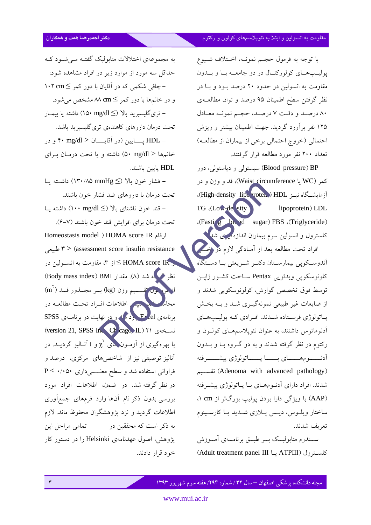با توجه به فرمول حجم نمونـه، اخــتلاف شــيوع پوليـپهـاى كولوركتـال در دو جامعـه بـا و بــدون مقاومت به انسولین در حدود ۲۰ درصد بود و با در نظر گرفتن سطح اطمینان ۹۵ درصد و توان مطالعـهي ٨٠ درصد و دقت ٧ درصد، حجم نمونه معادل ۱۲۵ نفر برآورد گردید. جهت اطمینان بیشتر و ریزش احتمالي (خروج احتمالي برخي از بيماران از مطالعـه) تعداد ۲۰۰ نفر مورد مطالعه قرار گرفتند.

Blood pressure) BP) سیستولی و دیاستولی، دور کمر (WC) یا Waist circumference)، قد و وزن و در آزمایشگاه نیـز HDL (High-density lipe voten). TG (Low-de sity lipoprotein) LDL (Fasting ble od sugar) FBS (Triglyceride) کلسترول و انسولین سرم بیماران اندازه میری شلم افراد تحت مطالعه بعد از اَمـادگی لازم در اخـــر ۔<br>آندوسکویی بیمارســتان دکتــر شــریعتی بــا دســتگاه كلونوسكويي ويدئويي Pentax ساخت كشور ژاپن توسط فوق تخصص گوارش، كولونوسكويي شدند و از ضایعات غیر طبیعی نمونهگیـری شـد و بـه بخـش پاتولوژي فرستاده شدند. افرادي که پوليپهاي آدنوماتوس داشتند، به عنوان نئوپلاسمهـای کولـون و رکتوم در نظر گرفته شدند و به دو گـروه بـا و بــدون أدنــــــومهــــــــاي بـــــــا پــــــاتولوژي پيشـــــــرفته (Adenoma with advanced pathology) تقسـيم شدند. افراد دارای آدنومهای بـا پـاتولوژی پیشـرفته (AAP) با ویژگی دارا بودن یولیپ بزرگتر از cm ۱، ساختار ويلوس، ديس پلازي شديد يا كارسينوم تعريف شدند.

ســندرم متابوليــک بــر طبــق برنامـــهى أمــوزش كلسترول (ATPIII يــا ATPIII) Adult treatment panel

به مجموعهی اختلالات متابولیک گفتـه مـیشــود کــه حداقل سه مورد از موارد زیر در افراد مشاهده شود: − چاقی شکمی که در آقایان با دور کمر ≥ ۱۰۲ cm و در خانمها با دور کمر M cm  $\leq$  مشخص می شود. – ترىگليسيږيد بالا (≥ ng/dl) داشته يا بيمــار تحت درمان داروهای کاهندهی تریگلیسیرید باشد. - HDL پسایین (در آقایســان < ۰ mg/dl + و در خانمها < a• mg/dl) داشته و یا تحت درمـان بـرای HDL يايين باشند. – فشار خون بالا (≥ N۳۰/۸۵ mmHg) داشته پــا

تحت درمان با داروهای ضد فشار خون باشند. – قند خون ناشتای بالا (≥ ng/dl) داشته پــا تحت درمان براي افزايش قند خون باشند (٧-۶).

Homeostasis model ) HOMA score IR طبیعی ۳  $>$  (assessment score insulin resistance ر HOMA score IR ≥ از ۳، مقاومت به انســولين در نظر کے له شد (٨). مقدار BMI) (Body mass index) نره ون تقسیم وزن (kg) بسر مجــذور قــد (m) م اطلاعات افـراد تحـت مطالعـه در برنامهی el رد که و در نهایت در برنامهی SPSS (version 21, SPSS In Cr cago, IL) ٢١ (version 21, SPSS In با بهرهگیری از آزمـون(حای  $\chi^{\rm Y}$ و t آنــالیز گردیــد. در آنالیز توصیفی نیز از شاخصهای مرکزی، درصد و فراوانی استفاده شد و سطح معنــــیداری ۰/۰۵۰ > P در نظر گرفته شد. در ضمن، اطلاعات افراد مورد بررسی بدون ذکر نام آنها وارد فرمهای جمعآوری اطلاعات گردید و نزد پژوهشگران محفوظ ماند. لازم به ذکر است که محققین در مستقامی مراحل این پژوهش، اصول عهدنامهی Helsinki را در دستور کار خود قرار دادند.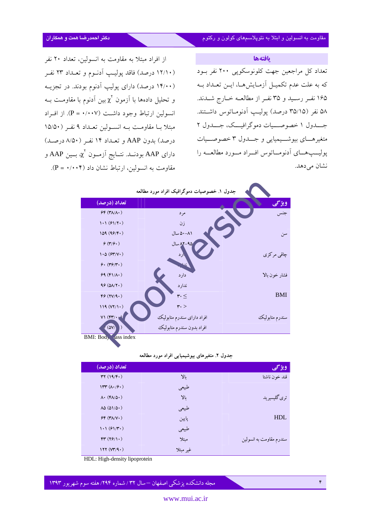بافتهها

تعداد کل مراجعین جهت کلونوسکویی ۲۰۰ نفر بود که به علت عدم تکمیـل آزمـایش۵مـا، ایـن تعـداد بــه ۱۶۵ نفـر رسـید و ۳۵ نفـر از مطالعــه خــارج شــدند. ۵۸ نفر (۳۵/۱۵ درصد) پولیپ آدنومـاتوس داشـتند. جـــدول ۱ خصوصـــيات دموگرافيـــک، جـــدول ۲ متغير هـاي بيوشــيميايي و جــدول ٣ خصوصــيات پوليــپهــاي أدنومــاتوس افــراد مــورد مطالعــه را نشان مے ردھد.

از افراد مبتلا به مقاومت به انسولین، تعداد ۲۰ نفر (۱۲/۱۰ درصد) فاقد پولیپ آدنـوم و تعـداد ۲۳ نفـر (۱۴/۰۰ درصد) دارای پولیپ آدنوم بودند. در تجزیـه و تحليل دادهها با آزمون  $\chi^\mathrm{Y}$ بين آدنوم با مقاومـت بــه انسولین ارتباط وجود داشت (۲۰۰۷ = P). از افـراد مبتلا بـا مقاومـت بـه انسـولين تعـداد ۹ نفـر (۱۵/۵۰ درصد) بدون AAP و تعـداد ١۴ نفـر (٨/٥٠ درصـد) دارای AAP بودنــد. نتــايج آزمــون  $\chi^{\rm v}$  بــين AAP و مقاومت به انسولین، ارتباط نشان داد (۰۰۰۴هه = P).



#### جدول ۲. متغیرهای بیوشیمیایی افراد مورد مطالعه

| تعداد (درصد)                             |           | ویژگی                   |
|------------------------------------------|-----------|-------------------------|
| rr(19/F.)                                | $Y_{\nu}$ | قند خون ناشتا           |
| $1rr(\Lambda\cdot/\varphi\cdot)$         | طبیعی     |                         |
| $\Lambda$ . (F $\Lambda/\Delta$ .)       | بالا      | تری گلیسیرید            |
| $\lambda \Delta (\Delta 1/\Delta \cdot)$ | طبيعي     |                         |
| $SF (Y\Lambda/V \cdot)$                  | پايين     | <b>HDL</b>              |
| $1.1(f1/\mathcal{F}^{\bullet})$          | طبیعی     |                         |
| FT (79/1)                                | مىتلا     | سندرم مقاومت به انسولین |
| 177 (VY/9)                               | غير مبتلا |                         |

HDL: High-density lipoprotein

مجله دانشکده پزشکی اصفهان —سال ۳۲ / شماره ۲۹۴/ هفته سوم شهریور ۱۳۹۳

F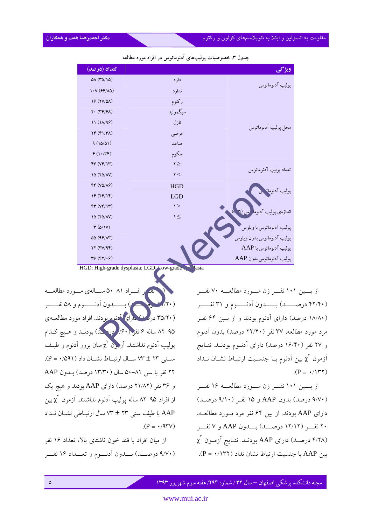جدول ۳. خصوصیات پولیپهای آدنوماتوس در افراد مورد مطالعه

| تعداد (درصد)                                   |              | ويژگي                               |
|------------------------------------------------|--------------|-------------------------------------|
| $\Delta\Lambda$ (۳ $\Delta/\Lambda\Delta$ )    | دار د        |                                     |
| $1. \mathsf{V}$ (۶۴/٨۵)                        | ندارد        | پوليپ آدنوماتوس                     |
| 19 (YV/QA)                                     | ركتوم        |                                     |
| $Y \cdot (Y \mathfrak{F}/\mathfrak{F} \wedge)$ | سيگمو ئيد    |                                     |
| 11(11/95)                                      | نازل         |                                     |
| $YF(Y Y\Lambda)$                               | عرضي         | محل پوليپ آدنوماتوس                 |
| 9(10/01)                                       | صاعد         |                                     |
| 9(1.74)                                        | سكوم         |                                     |
| FT (VP/1T)                                     | $\mathbf{y}$ |                                     |
| 10 (YO/AV)                                     | $\mathbf{Y}$ | تعداد پوليپ آدنوماتوس               |
| $FF (V\Delta/\Lambda P)$                       | <b>HGD</b>   |                                     |
| IF (YF/IF)                                     | LGD          | پولیپ آدنوما <sup>۔</sup>           |
| FT (VP/1T)                                     | $\ge$        |                                     |
| 10 (YO/AV)                                     | $\leq$       | اندازەي پوليپ آدنوما <mark>.</mark> |
| $\mathbf{r}(\Delta/\mathbf{V})$                |              | پوليپ آدنوماتوس با ويلوس            |
| $\Delta\Delta$ (9F/ $\Lambda$ ۳)               |              | پوليپ آدنوماتوس بدون ويلوس          |
| YY (TY/4F)                                     |              | پوليپ آدنوماتوس با AAP              |
| $Y$ $(5Y, 6)$                                  |              | پوليپ آدنوماتوس بدون AAP            |

HGD: High-grade dysplasia; LGD: Low-grade

از بسین ۱۰۱ نفسر زن مسورد مطالعسه ۷۰ نفسر (۴۲/۴۰ درصــــد) بــــدون آدنــــوم و ۳۱ نفــــر (۱۸/۸۰ درصد) دارای آدنوم بودند و از بـین ۶۴ نفـر مرد مورد مطالعه، ۳۷ نفر (۲۲/۴۰ درصد) بدون آدنوم و ۲۷ نفر (۱۶/۴۰ درصد) دارای آدنــوم بودنــد. نتــایج آزمون  $\chi^{\rm v}$  بین آدنوم بــا جنسـیت ارتبــاط نشــان نــداد  $(P = \cdot / \sqrt{77})$ 

از بسین ۱۰۱ نفسر زن مسورد مطالعسه ۱۶ نفسر (٩/٧٠ درصد) بدون AAP و ١۵ نفر (٩/١٠ درصد) دارای AAP بودند. از بین ۶۴ نفر مرد مـورد مطالعـه، ۲۰ نفسر (۱۲/۱۲ درصــد) بــدون AAP و ۷ نفــر  $\chi^{\rm V}$  درصـد) داراي AAP بودنـد. نتـايج أزمـون  $\chi^{\rm V}$ بين AAP با جنسيت ارتباط نشان نداد (٢٣٢/٠ = P).

اف راد ۸۱–۵۰ ســالهي مــورد مطالعــه (۳۵/۲۰) در مسکندارای کمنه مربودند. افراد مورد مطالعـهي ۹۵–۸۲ ساله ۶ نفر (۶۰/ در ک) بودنـد و هـیچ کـدام پولیپ اَدنوم نداشتند. اَزگونْ ک<sub>ا</sub>میان بروز اَدنوم و طیـف سنی ٢٣ ± ٧٣ ســال ارتبــاط نشــان داد (٥٩١/٠= P). ۲۲ نفر با سن ۸۱-۵۰ سال (۱۳/۳۰ درصد) بـدون AAP و ۳۶ نفر (۲۱/۸۲ درصد) دارای AAP بودند و هیچ یک از افراد ۹۵–۸۲ ساله یولیپ اَدنوم نداشتند. اَزمون  $\chi^\mathrm{Y}$ بین AAP با طيف سنى ٢٣ ± ٧٣ سال ارتبـاطى نشـان نـداد  $(P = \cdot$ /97 $V$ )

از میان افراد با قند خون ناشتای بالا، تعداد ۱۶ نفر (۹/۷۰ درصــد) بــدون آدنــوم و تعــداد ۱۶ نفــر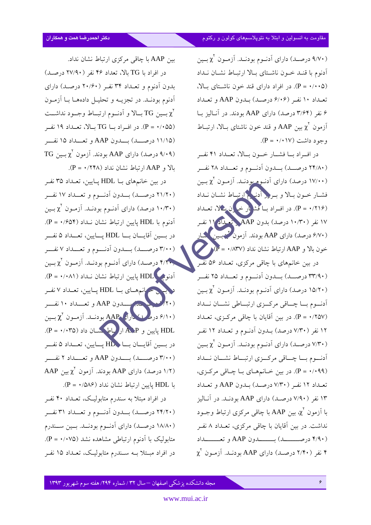(۹/۷۰ درصد) دارای آدنوم بودنـد. آزمـون  $\chi^{\rm v}$  بـين أدنوم با قنـد خـون ناشـتاي بـالا ارتبـاط نشـان نـداد (P = ٠/٠٠۵). در افراد دارای قند خون ناشتای بالا، تعبداد ١٠ نفر (۶/٠۶ درصيد) بيدون AAP و تعبداد ۶ نفر (۳/۶۴ درصد) دارای AAP بودند. در آنالیز با آزمون ع $\chi^V$  بین AAP و قند خون ناشتای بـالا، ارتبــاط  $(P = \cdot / \cdot \cdot \vee)$  وجود داشت

در اف راد با فشبار خبون بسالا، تعبداد ۴۱ نف (٢٣/٨٠ درصــد) بــدون آدنــوم و تعــداد ٢٨ نفــر (۱۷/۰۰ درصد) دارای آدنبوم بودنـد. آزمـون  $\chi^Y$  بـین فشبار خبون ببالا و ببرو آدنیکم ارتباط نشبان نبداد (۲۱۶/ - P). در افسراد بسا فشا بار خو ان مثلا، تعبداد ۱۷ نفر (۱۰/۳۰ درصد) بدون AAP ق بداد ۱۱ نفر (۶/۷۰ درصد) دارای AAP بودند. آزمون گرمبین گمار  $\langle P = \cdot / \Lambda TV \rangle$  خون بالا و AAP ارتباط نشان نداد (۸۳۷– در بین خانمهای با چاقی مرکزی، تعـداد ۵۶ نفـر (٣٣/٩٠ درصـد) بــدون آدنــوم و تعــداد ٢۵ نفــر (۱۵/۲۰ درصد) دارای آدنوم بودنـد. آزمـون  $\chi^{\rm v}$  بـين أدنوم بسا چساقي مركزي ارتبساطي نشسان نسداد (۲۵۷/۰ = P). در بین آقایان با چاقی مرکـزی، تعـداد ۱۲ نفر (۷/۳۰ درصد) بـدون آدنـوم و تعـداد ۱۲ نفـر (۷/۳۰ درصـد) دارای آدنـوم بودنـد. آزمـون  $\chi^{\rm v}$  بـين أدنسوم بسا چساقی مرکسزی ارتبساط نشسان نسداد (۰/۰۹۹). در بين خـانمهـاي بـا چـاقي مركـزى، تعبداد ١٢ نفر (٧/٣٠ درصيد) بيدون AAP وتعبداد ۱۳ نفر (۷/۹۰ درصـد) دارای AAP بودنـد. در آنــاليز با اَزمون  $\chi^{\rm Y}$  بین AAP با چاقی مرکزی ارتباط وجـود نداشت. در بین آقایان با چاقی مرکزی، تعـداد ۸ نفـر (۴/۹۰ درصــــــد) بــــــدون AAP و تعـــــداد  $\chi^{\dagger}$  نفر (۲/۴۰ درصـد) دارای AAP بودنــد. آزمــون  $\chi^{\dagger}$ 

بین AAP با چاقی مرکزی ارتباط نشان نداد.

در افراد با TG بالا، تعداد ۴۶ نفر (۲۷/۹۰ درصد) بدون آدنوم و تعـداد ۳۴ نفـر (۲۰/۶۰ درصـد) دارای أدنوم بودنـد. در تجزيــه و تحليــل دادههــا بــا اَزمــون بين TG بــالا و أدنــوم ارتبــاط وجــود نداشــت  $\chi^{\mathrm{V}}$ (P = ۰/۰۵۵). در افـراد بــا TG بــالا، تعــداد ۱۹ نفــر (١١/١٥ درصــد) بــدون AAP و تعــداد ١٥ نفــر  $TG$  درصد) دارای AAP بو دند. آزمون  $\chi^Y$  بین TG بالا و AAP ارتباط نشان نداد (٢۴٨/ + = P).

در بین خانمهای بـا HDL یـایین، تعـداد ۳۵ نفـر (٢١/٢٠ درصــد) بــدون آدنــوم و تعــداد ١٧ نفــر (۱۰/۳۰ درصد) دارای آدنوم بودنـد. آزمـون  $\chi^{\rm v}$  بـين آدنوم با HDL یابین ارتباط نشان نـداد (۶۵۴+ = P). در بسين آقايسان بسا HDL يسايين، تعسداد ۵ نفسر (٣/٠٠ درصــد) بــدون آدنــوم و تعــداد ٧ نفــر ۴/۲۰٫ درصـد) دارای آدنـوم بودنـد. آزمـون  $\chi^{\rm v}$  بـين آدنوم HDL یایین ارتباط نشان نـداد (۰/۰۸۱) ـ P). برانم هسای بسا HDL پسایین، تعسداد ۷ نفس حة السمادون AAP و تعســداد ١٠ نفــــر  $\chi^V$  درهه ایرانی AAP بودنید. آزمون  $\chi^V$  بسین HDL يايين و A. P ار باط حسان داد (P = ۰/۰۳۵). در بسين آقايسان بسا HD پسايين، تعسداد ۵ نفسر (۳/۰۰ درصـــد) بـــدون AAP و تعـــداد ۲ نفـــر AAP بودند. آزمون  $\chi^Y$  بین AAP با HDL يايين ارتباط نشان نداد (٥٨۶+ = P).

در افراد مبتلا به سندرم متابولیـک، تعـداد ۴۰ نفـر (۲۴/۲۰ درصــد) بــدون آدنــوم و تعــداد ۳۱ نفــر (۱۸/۸۰ درصد) دارای آدنوم بودنـد. بـین سـندرم متابولیک با اَدنوم ارتباطی مشاهده نشد (۰/۰۷۵– P). در افراد مبـتلا بــه ســندرم متابوليــک، تعــداد ۱۵ نفــر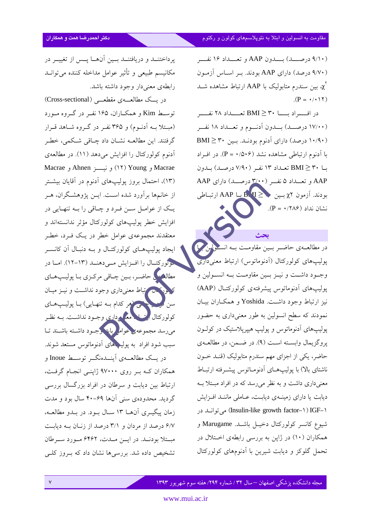(۹/۱۰ درصـــد) بـــدون AAP و تعـــداد ۱۶ نفـــر (۹/۷۰ درصد) دارای AAP بودند. بر اساس آزمون بین سندرم متابولیک با AAP ارتباط مشاهده شــد  $\chi^{\!\top}$  $(P = \cdot / \cdot \setminus \tau)$ 

در افــــراد بـــــا ۳۰ ≤ BMI تعـــــداد ۲۸ نفـــــر (۱۷/۰۰ درصــد) بــدون آدنــوم و تعــداد ۱۸ نفــر (۱۰/۹۰ درصد) دارای آدنوم بودنـد. بـین ۳۰ ≤ BMI با آدنوم ارتباطی مشاهده نشد (۱۵۰۶+ = P). در اف اد با BMI ≥ ۳۰ تعـداد ۱۳ نفـر (۷/۹۰ درصـد) بـدون AAP و تعبداد ۵ نفر (۳/۰۰ درصید) دارای AAP بودند. آزمون ٢x بسين  $\mathbf{A} \geq \mathbf{B}$  با AAP ارتباطی  $(P = \cdot / 7 \wedge 9)$  نشان نداد

يحث

در مطالعــهى حاضــر بــين مقاومــت بــه انســو<mark>لين ک</mark> پولیپهای کولورکتال (اَدنوماتوس) ارتباط معنیداری وجود داشت و نيـز بـين مقاومـت بـه انسـولين و پولیپهای ادنوماتوس پیشرفتهی کولورکتـال (AAP) نیز ارتباط وجود داشت. Yoshida و همکاران بیـان نمودند که سطح انسولین به طور معنیداری به حضور پولیپهای آدنوماتوس و پولیپ هیپرپلاستیک در کولـون پروگزیمال وابسته است (۹). در ضمن، در مطالعهی حاضر، یکی از اجزای مهم سندرم متابولیک (قنـد خـون ناشتای بالا) با پولیپهای آدنومـاتوس پیشـرفته ارتبـاط معنیداری داشت و به نظر می رسد که در افراد مبتلا بـه دیابت یا دارای زمینهی دیابت، عـاملی ماننـد افـزایش (Insulin-like growth factor-۱) IGF-۱) می توانید در شيوع كانسر كولوركتال دخيـل باشـد. Marugame و همکاران (۱۰) در ژاپن به بررسی رابطهی اختلال در تحمل گلوکز و دیابت شیرین با آدنومهای کولورکتال

يرداختنــد و دريافتنــد بــين آنهــا يــس از تغييــر در مكانيسم طبيعي و تأثير عوامل مداخله كننده مى توانـد رابطهى معنىدار وجود داشته باشد.

در یــک مطالعــــهی مقطعـــی (Cross-sectional) توسط Kim و همکاران، ۱۶۵ نفر در گروه مورد (مبتلا بـه اَدنـوم) و ۳۶۵ نفـر در گـروه شـاهد قـرار گرفتند. این مطالعــه نشــان داد چــاقی شــکمی، خطـر أدنوم كولوركتال را افزايش مى دهد (١١). در مطالعهى Macrae و Young) (١٢) و نيســز Ahnen و Macrae (۱۳)، احتمال بروز یولیپهای آدنوم در آقایان بیشتر از خانمها برآورد شده است. ایــن پژوهشـگران، هــر یـک از عوامــل ســن فــرد و چــاقی را بــه تنهــایی در افزایش خطر یولیپهای کولورکتال مؤثر ندانستهاند و معتقدند مجموعهى عوامل خطر در يـک فــرد، خطــر ایجاد پولیپهای کولورکتـال و بـه دنبـال آن کانسـر حولورکتـال را افــزايش مــى دهنــد (١٣-١٢). امــا در مطالع<sup>مه ک</sup>ی حاضـر، بـین چـاقی مرکـزی بـا پوليـپهـای کرونکس تباط معنیداری وجود نداشت و نیـز میـان سن محمد اسم اسم اسم تنهایی) با پولیپهای کولورکتال است کے مع<mark>کم داری</mark> وجـود نداشــت. بــه نظـر میرسد مجموعه <mark>ی عوام</mark> کبابا وجـود داشـته باشـند تـا سبب شود افراد به پولیدهای اَدنوماتوس مستعد شوند. در یــک مطالعـــهی اَینـــدهنگـــر توســـط Inoue و همکاران کـه بـر روی ۹۷۰۰۰ ژاپنـی انجـام گرفـت، ارتباط بین دیابت و سرطان در افراد بزرگسال بررسی گرديد. محدودهي سني آنها ۶۹-۴۰ سال بود و مدت زمان پیگیـری آن۱۳ سـال بـود. در بـدو مطالعـه، ۶/۷ درصد از مردان و ۳/۱ درصد از زنبان به دیابت مبستلا بودنسد. در ایسن مسدت، ۶۴۶۲ مسورد سیرطان تشخیص داده شد. بررسیها نشان داد که بـروز کلــی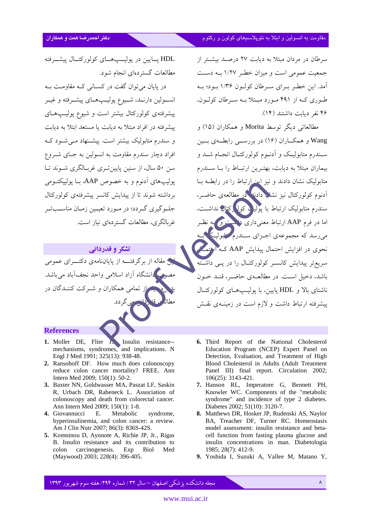سرطان در مردان مبتلا به دیابت ۲۷ درصـد بیشـتر از جمعیت عمومی است و میزان خطر ۱/۲۷ بـه دسـت آمد. این خطر بهرای سه طان کولیون ۱/۳۶ بیود؛ بیه طوری کـه از ۴۹۱ مـورد مبـتلا بـه سـرطان کولـون، ۴۶ نفر دیایت داشتند (۱۴).

مطالعاتي ديگر توسط Morita و همکاران (١۵) و Wang و همکــاران (۱۶) در بررســي رابطــهي بــين سـندرم متابوليـک و اَدنــوم کولورکتــال انجــام شــد و بیماران مبتلا به دیابت، بهتـرین ارتبـاط را بـا سـندرم متابولیک نشان دادند و نیز این ارتباط را در رابطـه بـا آدنوم کولورکتال نیز نشل<mark>ی دادن</mark>ه کر<sub>د</sub> مطالعهی حاضیر، سندرم متابولیک ارتباط با یولی<mark>د کولگرکتان ن</mark>داشت، اما در فرم AAP ارتباط معنی داری داشت و به نظیر می رسد که مجموعهی اجهزای سندرم سلولیگ نحوی در افزایش احتمال پیدایش AAP که استمکار سریعتر پیدایش کانسـر کولورکتـال را در یــی داشــ باشد، دخیل است. در مطالعـهی حاضـر، قنـد خـون ناشتای بالا و HDL پایین، با پولیپهای کولورکتـال پیشرفته ارتباط داشت و لازم است در زمینهی نقش

HDL يسايين در يوليسي هساي كولوركتسال پيشبرفته مطالعات گستر دهای انجام شود.

در پایان می توان گفت در کسـانی کـه مقاومـت بـه انســولين دارنــد، شـــيوع پوليـــپـهــاي پيشــرفته و غيــر پیشرفتهی کولورکتال بیشتر است و شیوع پولیپهای پیشرفته در افراد مبتلا به دیابت یا مستعد ابتلا به دیابت و سندرم متابولیک بیشتر است. پیشـنهاد مـی شـود کـه افراد دچار سندرم مقاومت به انسولین به جـای شـروع سن ۵۰ سال، از سنین پایین تیری غربیالگری شیوند تیا یولیپهای آدنوم و به خصوص AAP، بــا یولیپکتــومی برداشته شوند تا از پیدایش کانسر پیشرفتهی کولورکتال جلبوگیری گیردد؛ در میورد تعیین زمیان مناسبت بر غ بالگری، مطالعات گستردهای نیاز است.

#### تشکر و قدردانے

ین مقاله از برگرفتـــه از پایاننامهی دکتــــرای عمومی مصوب دانشگاه آزاد اسلامی واحد نجفآباد میباشد. <mark>سید از تمامی همکاران و شـرکت کننـدگان در</mark> مي گر دد.

#### **References**

- 1. Moller DE, Flier J, Insulin resistance--<br>mechanisms, syndromes, and implications. N Engl J Med 1991; 325(13): 938-48.
- 2. Ransohoff DF. How much does colonoscopy reduce colon cancer mortality? FREE. Ann Intern Med 2009; 150(1): 50-2.
- 3. Baxter NN, Goldwasser MA, Paszat LF, Saskin R, Urbach DR, Rabeneck L. Association of colonoscopy and death from colorectal cancer. Ann Intern Med 2009; 150(1): 1-8.
- 4. Giovannucci  $E.$ Metabolic syndrome, hyperinsulinemia, and colon cancer: a review. Am J Clin Nutr 2007; 86(3): 836S-42S.
- 5. Komninou D, Ayonote A, Richie JP, Jr., Rigas B. Insulin resistance and its contribution to carcinogenesis. Exp colon **Biol** Med (Maywood) 2003; 228(4): 396-405.
- 6. Third Report of the National Cholesterol Education Program (NCEP) Expert Panel on Detection, Evaluation, and Treatment of High Blood Cholesterol in Adults (Adult Treatment Panel III) final report. Circulation 2002;  $106(25): 3143-421.$
- 7. Hanson RL, Imperatore G, Bennett PH,<br>Knowler WC. Components of the "metabolic syndrome" and incidence of type 2 diabetes. Diabetes 2002; 51(10): 3120-7.
- 8. Matthews DR, Hosker JP, Rudenski AS, Naylor BA, Treacher DF, Turner RC. Homeostasis model assessment: insulin resistance and betacell function from fasting plasma glucose and insulin concentrations in man. Diabetologia 1985; 28(7): 412-9.
- 9. Yoshida I. Suzuki A. Vallee M. Matano Y.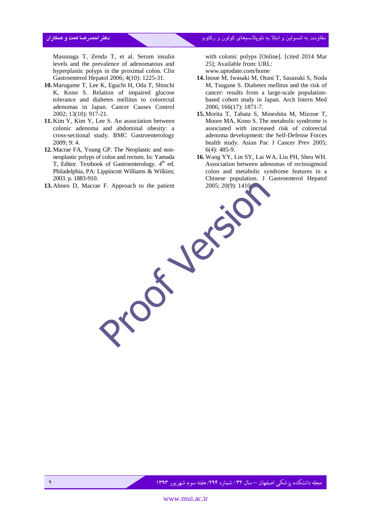مقاومت به انسولین و ابتلا به نئوپلاسىمهاى كولون و ركتوم مىگرى كولون از مورد بود. مىگرى مىگرى مىگرى مىگر

Masunaga T, Zenda T, et al. Serum insulin levels and the prevalence of adenomatous and hyperplastic polyps in the proximal colon. Clin Gastroenterol Hepatol 2006; 4(10): 1225-31.

- **10.** Marugame T, Lee K, Eguchi H, Oda T, Shinchi K, Kono S. Relation of impaired glucose tolerance and diabetes mellitus to colorectal adenomas in Japan. Cancer Causes Control 2002; 13(10): 917-21.
- **11.** Kim Y, Kim Y, Lee S. An association between colonic adenoma and abdominal obesity: a cross-sectional study. BMC Gastroenterology 2009; 9: 4.
- **12.** Macrae FA, Young GP. The Neoplastic and nonneoplastic polyps of colon and rectum. In: Yamada T, Editor. Textbook of Gastroenterology.  $4<sup>th</sup>$  ed. Philadelphia, PA: Lippincott Williams & Wilkins; 2003. p. 1883-910.
- **13.** Ahnen D, Macrae F. Approach to the patient

with colonic polyps [Online]. [cited 2014 Mar 25]; Available from: URL: www.uptodate.com/home

- **14.**Inoue M, Iwasaki M, Otani T, Sasazuki S, Noda M, Tsugane S. Diabetes mellitus and the risk of cancer: results from a large-scale populationbased cohort study in Japan. Arch Intern Med 2006; 166(17): 1871-7.
- **15.** Morita T, Tabata S, Mineshita M, Mizoue T, Moore MA, Kono S. The metabolic syndrome is associated with increased risk of colorectal adenoma development: the Self-Defense Forces health study. Asian Pac J Cancer Prev 2005; 6(4): 485-9.
- **16.** Wang YY, Lin SY, Lai WA, Liu PH, Sheu WH. Association between adenomas of rectosigmoid colon and metabolic syndrome features in a Chinese population. J Gastroenterol Hepatol 2005; 20(9): 1410<br>
Proproach to the patient<br>
2005; 20(9): 1410<br>
Proproach to the patient<br>
2005; 20(9): 1410<br>
Proproach to the patient<br>
2005; 20(9): 1410<br>
Proproach to the patient<br>
2005; 20(9): 1410<br>
Proproach to the patien

مجله دانشکده پزشکی اصفهان —سال ۳۲ / شماره ۲۹۴/ هفته سوم شهریور ۱۳۹۳ است. می است به سود است که ۹